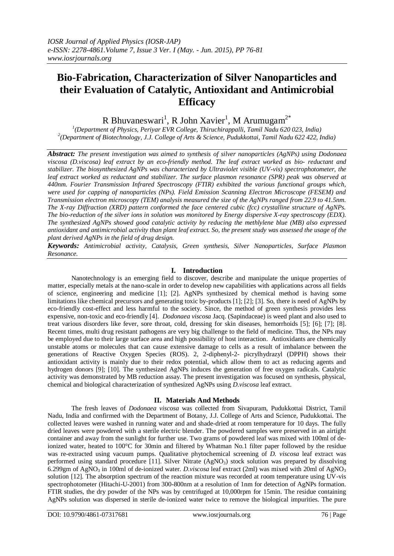# **Bio-Fabrication, Characterization of Silver Nanoparticles and their Evaluation of Catalytic, Antioxidant and Antimicrobial Efficacy**

R Bhuvaneswari<sup>1</sup>, R John Xavier<sup>1</sup>, M Arumugam<sup>2\*</sup>

*1 (Department of Physics, Periyar EVR College, Thiruchirappalli, Tamil Nadu 620 023, India) 2 (Department of Biotechnology, J.J. College of Arts & Science, Pudukkottai, Tamil Nadu 622 422, India)*

*Abstract: The present investigation was aimed to synthesis of silver nanoparticles (AgNPs) using Dodonaea viscosa (D.viscosa) leaf extract by an eco-friendly method. The leaf extract worked as bio- reductant and stabilizer. The biosynthesized AgNPs was characterized by Ultraviolet visible (UV-vis) spectrophotometer, the leaf extract worked as reductant and stabilizer. The surface plasmon resonance (SPR) peak was observed at 440nm. Fourier Transmission Infrared Spectroscopy (FTIR) exhibited the various functional groups which, were used for capping of nanoparticles (NPs). Field Emission Scanning Electron Microscope (FESEM) and Transmission electron microscopy (TEM) analysis measured the size of the AgNPs ranged from 22.9 to 41.5nm. The X-ray Diffraction (XRD) pattern conformed the face centered cubic (fcc) crystalline structure of AgNPs. The bio-reduction of the silver ions in solution was monitored by Energy dispersive X-ray spectroscopy (EDX). The synthesized AgNPs showed good catalytic activity by reducing the methlylene blue (MB) also expressed antioxidant and antimicrobial activity than plant leaf extract. So, the present study was assessed the usage of the plant derived AgNPs in the field of drug design.* 

*Keywords: Antimicrobial activity, Catalysis, Green synthesis, Silver Nanoparticles, Surface Plasmon Resonance.* 

## **I. Introduction**

Nanotechnology is an emerging field to discover, describe and manipulate the unique properties of matter, especially metals at the nano-scale in order to develop new capabilities with applications across all fields of science, engineering and medicine [1]; [2]. AgNPs synthesized by chemical method is having some limitations like chemical precursors and generating toxic by-products [1]; [2]; [3]. So, there is need of AgNPs by eco-friendly cost-effect and less harmful to the society. Since, the method of green synthesis provides less expensive, non-toxic and eco-friendly [4]. *Dodonaea viscosa* Jacq. (Sapindaceae) is weed plant and also used to treat various disorders like fever, sore throat, cold, dressing for skin diseases, hemorrhoids [5]; [6]; [7]; [8]. Recent times, multi drug resistant pathogens are very big challenge to the field of medicine. Thus, the NPs may be employed due to their large surface area and high possibility of host interaction. Antioxidants are chemically unstable atoms or molecules that can cause extensive damage to cells as a result of imbalance between the generations of Reactive Oxygen Species (ROS). 2, 2-diphenyl-2- picrylhydrazyl (DPPH) shows their antioxidant activity is mainly due to their redox potential, which allow them to act as reducing agents and hydrogen donors [9]; [10]. The synthesized AgNPs induces the generation of free oxygen radicals. Catalytic activity was demonstrated by MB reduction assay. The present investigation was focused on synthesis, physical, chemical and biological characterization of synthesized AgNPs using *D.viscosa* leaf extract.

### **II. Materials And Methods**

The fresh leaves of *Dodonaea viscosa* was collected from Sivapuram, Pudukkottai District, Tamil Nadu, India and confirmed with the Department of Botany, J.J. College of Arts and Science, Pudukkottai. The collected leaves were washed in running water and and shade-dried at room temperature for 10 days. The fully dried leaves were powdered with a sterile electric blender. The powdered samples were preserved in an airtight container and away from the sunlight for further use. Two grams of powdered leaf was mixed with 100ml of deionized water, heated to 100°C for 30min and filtered by Whatman No.1 filter paper followed by the residue was re-extracted using vacuum pumps. Qualitative phytochemical screening of *D. viscosa* leaf extract was performed using standard procedure [11]. Silver Nitrate  $(AgNO_3)$  stock solution was prepared by dissolving 6.299gm of AgNO<sub>3</sub> in 100ml of de-ionized water. *D.viscosa* leaf extract (2ml) was mixed with 20ml of AgNO<sub>3</sub> solution [12]. The absorption spectrum of the reaction mixture was recorded at room temperature using UV-vis spectrophotometer (Hitachi-U-2001) from 300-800nm at a resolution of 1nm for detection of AgNPs formation. FTIR studies, the dry powder of the NPs was by centrifuged at 10,000rpm for 15min. The residue containing AgNPs solution was dispersed in sterile de-ionized water twice to remove the biological impurities. The pure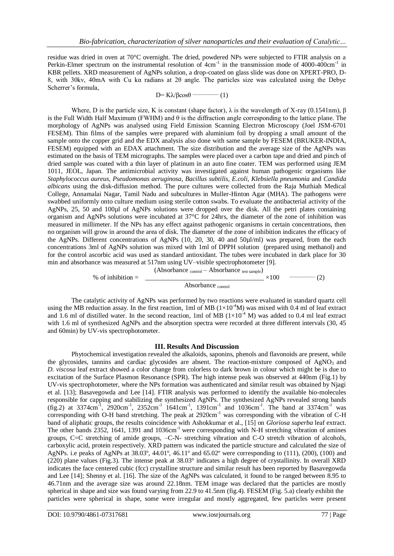residue was dried in oven at 70°C overnight. The dried, powdered NPs were subjected to FTIR analysis on a Perkin-Elmer spectrum on the instrumental resolution of  $4cm^{-1}$  in the transmission mode of  $4000-400cm^{-1}$  in KBR pellets. XRD measurement of AgNPs solution, a drop-coated on glass slide was done on XPERT-PRO, D-8, with 30kv, 40mA with Cu kα radians at 2θ angle. The particles size was calculated using the Debye Scherrer's formula,

 $D= K\lambda/\beta cos\theta$  — (1)

Where, D is the particle size, K is constant (shape factor),  $\lambda$  is the wavelength of X-ray (0.1541nm), β is the Full Width Half Maximum (FWHM) and θ is the diffraction angle corresponding to the lattice plane. The morphology of AgNPs was analysed using Field Emission Scanning Electron Microscopy (Joel JSM-6701 FESEM). Thin films of the samples were prepared with aluminium foil by dropping a small amount of the sample onto the copper grid and the EDX analysis also done with same sample by FESEM (BRUKER-INDIA, FESEM) equipped with an EDAX attachment. The size distribution and the average size of the AgNPs was estimated on the basis of TEM micrographs. The samples were placed over a carbon tape and dried and pinch of dried sample was coated with a thin layer of platinum in an auto fine coater. TEM was performed using JEM 1011, JEOL, Japan. The antimicrobial activity was investigated against human pathogenic organisms like *Staphylococcus aureus, Pseudomonas aeruginosa, Bacillus subtilis, E.coli, Klebsiella pneumonia* and *Candida albicans* using the disk-diffusion method. The pure cultures were collected from the Raja Muthiah Medical College, Annamalai Nagar, Tamil Nadu and subcultures in Muller-Hinton Agar (MHA). The pathogens were swabbed uniformly onto culture medium using sterile cotton swabs. To evaluate the antibacterial activity of the AgNPs, 25, 50 and 100µl of AgNPs solutions were dropped over the disk. All the petri plates containing organism and AgNPs solutions were incubated at 37°C for 24hrs, the diameter of the zone of inhibition was measured in millimeter. If the NPs has any effect against pathogenic organisms in certain concentrations, then no organism will grow in around the area of disk. The diameter of the zone of inhibition indicates the efficacy of the AgNPs. Different concentrations of AgNPs (10, 20, 30, 40 and 50µl/ml) was prepared, from the each concentrations 3ml of AgNPs solution was mixed with 1ml of DPPH solution (prepared using methanol) and for the control ascorbic acid was used as standard antioxidant. The tubes were incubated in dark place for 30 min and absorbance was measured at 517nm using UV–visible spectrophotometer [9].

> (Absorbance <sub>control</sub> – Absorbance test sample) % of inhibition =  $\times 100$   $\longrightarrow$   $(2)$ Absorbance <sub>control</sub>

The catalytic activity of AgNPs was performed by two reactions were evaluated in standard quartz cell using the MB reduction assay. In the first reaction, 1ml of MB ( $1\times10^{-4}$ M) was mixed with 0.4 ml of leaf extract and 1.6 ml of distilled water. In the second reaction, 1ml of MB  $(1\times10^{-4}$  M) was added to 0.4 ml leaf extract with 1.6 ml of synthesized AgNPs and the absorption spectra were recorded at three different intervals (30, 45 and 60min) by UV-vis spectrophotometer.

### **III. Results And Discussion**

Phytochemical investigation revealed the alkaloids, saponins, phenols and flavonoids are present, while the glycosides, tannins and cardiac glycosides are absent. The reaction-mixture composed of AgNO3 and *D. viscosa* leaf extract showed a color change from colorless to dark brown in colour which might be is due to excitation of the Surface Plasmon Resonance (SPR). The high intense peak was observed at 440nm (Fig.1) by UV-vis spectrophotometer, where the NPs formation was authenticated and similar result was obtained by Njagi et al. [13]; Basavegowda and Lee [14]. FTIR analysis was performed to identify the available bio-molecules responsible for capping and stabilizing the synthesized AgNPs. The synthesized AgNPs revealed strong bands  $(\text{fig.2})$  at 3374cm<sup>-1</sup>, 2920cm<sup>-1</sup>, 2352cm<sup>-1</sup> 1641cm<sup>-1</sup>, 1391cm<sup>-1</sup> and 1036cm<sup>-1</sup>. The band at 3374cm<sup>-1</sup> was corresponding with O-H band stretching. The peak at 2920cm<sup>-1</sup> was corresponding with the vibration of C-H band of aliphatic groups, the results coincidence with Ashokkumar et al., [15] on *Gloriosa superba* leaf extract. The other bands 2352, 1641, 1391 and 1036cm<sup>-1</sup> were corresponding with N-H stretching vibration of amines groups, C=C stretching of amide groups, –C-N- stretching vibration and C-O stretch vibration of alcohols, carboxylic acid, protein respectively. XRD pattern was indicated the particle structure and calculated the size of AgNPs. i.e peaks of AgNPs at 38.03º, 44.01º, 46.11º and 65.02º were corresponding to (111), (200), (100) and (220) plane values (Fig.3). The intense peak at 38.03° indicates a high degree of crystallinity. In overall XRD indicates the face centered cubic (fcc) crystalline structure and similar result has been reported by Basavegowda and Lee [14]; Shenny et al. [16]. The size of the AgNPs was calculated, it found to be ranged between 8.95 to 46.71nm and the average size was around 22.18nm. TEM image was declared that the particles are mostly spherical in shape and size was found varying from 22.9 to 41.5nm (fig.4). FESEM (Fig. 5.a) clearly exhibit the particles were spherical in shape, some were irregular and mostly aggregated, few particles were present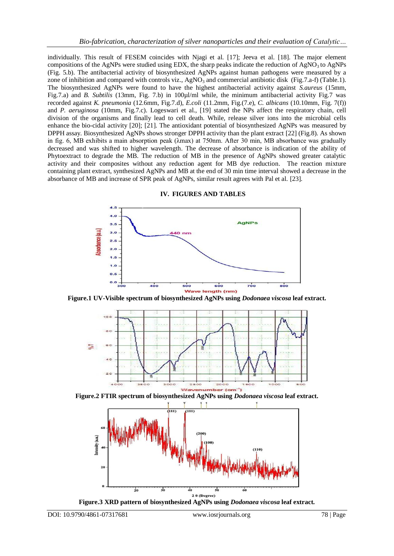individually. This result of FESEM coincides with Njagi et al. [17]; Jeeva et al. [18]. The major element compositions of the AgNPs were studied using EDX, the sharp peaks indicate the reduction of  $AgNO<sub>3</sub>$  to  $AgNPs$ (Fig. 5.b). The antibacterial activity of biosynthesized AgNPs against human pathogens were measured by a zone of inhibition and compared with controls viz.,  $AgNO<sub>3</sub>$  and commercial antibiotic disk (Fig.7.a-f) (Table.1). The biosynthesized AgNPs were found to have the highest antibacterial activity against *S.aureus* (15mm, Fig.7.a) and *B. Subtilis* (13mm, Fig. 7.b) in 100µl/ml while, the minimum antibacterial activity Fig.7 was recorded against *K. pneumonia* (12.6mm, Fig.7.d), *E.coli* (11.2mm, Fig.(7.e), *C. albicans* (10.10mm, Fig. 7(f)) and *P. aeruginosa* (10mm, Fig.7.c). Logeswari et al., [19] stated the NPs affect the respiratory chain, cell division of the organisms and finally lead to cell death. While, release silver ions into the microbial cells enhance the bio-cidal activity [20]; [21]. The antioxidant potential of biosynthesized AgNPs was measured by DPPH assay. Biosynthesized AgNPs shows stronger DPPH activity than the plant extract [22] (Fig.8). As shown in fig. 6, MB exhibits a main absorption peak (λmax) at 750nm. After 30 min, MB absorbance was gradually decreased and was shifted to higher wavelength. The decrease of absorbance is indication of the ability of Phytoextract to degrade the MB. The reduction of MB in the presence of AgNPs showed greater catalytic activity and their composites without any reduction agent for MB dye reduction. The reaction mixture containing plant extract, synthesized AgNPs and MB at the end of 30 min time interval showed a decrease in the absorbance of MB and increase of SPR peak of AgNPs, similar result agrees with Pal et al. [23].



**IV. FIGURES AND TABLES** 

**Figure.1 UV-Visible spectrum of biosynthesized AgNPs using** *Dodonaea viscosa* **leaf extract.**



**Figure.2 FTIR spectrum of biosynthesized AgNPs using** *Dodonaea viscosa* **leaf extract.**



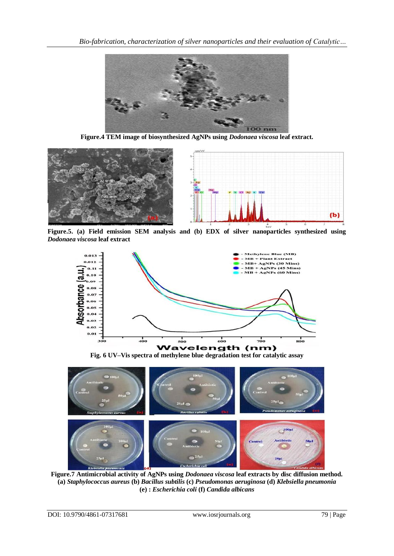

**Figure.4 TEM image of biosynthesized AgNPs using** *Dodonaea viscosa* **leaf extract.**



**Figure.5. (a) Field emission SEM analysis and (b) EDX of silver nanoparticles synthesized using**  *Dodonaea viscosa* **leaf extract**



**Fig. 6 UV–Vis spectra of methylene blue degradation test for catalytic assay** 



**Figure.7 Antimicrobial activity of AgNPs using** *Dodonaea viscosa* **leaf extracts by disc diffusion method. (a)** *Staphylococcus aureus* **(b)** *Bacillus subtilis* **(c)** *Pseudomonas aeruginosa* **(d)** *Klebsiella pneumonia* **(e) :** *Escherichia coli* **(f)** *Candida albicans*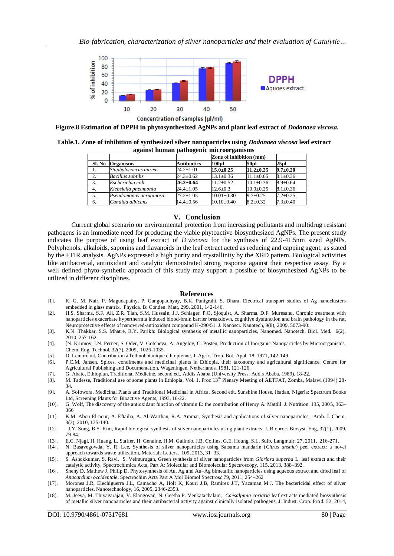

**Concentration of samples (µl/ml)** 

**Figure.8 Estimation of DPPH in phytosynthesized AgNPs and plant leaf extract of** *Dodonaea viscosa***.**

**Table.1. Zone of inhibition of synthesized silver nanoparticles using** *Dodonaea viscosa* **leaf extract against human pathogenic microorganisms**

|                  |                          |                    | Zone of inhibition (mm) |                 |                |
|------------------|--------------------------|--------------------|-------------------------|-----------------|----------------|
| Sl. No           | <b>Organisms</b>         | <b>Antibiotics</b> | 100ul                   | 50ul            | 25 ul          |
| l.               | Staphylococcus aureus    | $24.2 \pm 1.01$    | $15.0 + 0.25$           | $11.2 \pm 0.25$ | $9.7 \pm 0.20$ |
| 2.               | <b>Bacillus subtilis</b> | $24.3 \pm 0.62$    | $13.1 \pm 0.36$         | $11.1 \pm 0.65$ | $8.1 \pm 0.36$ |
| 3.               | Escherichia coli         | $26.2 \pm 0.64$    | $11.2 + 0.52$           | $10.1 \pm 0.36$ | $8.9 + 0.64$   |
| $\overline{4}$ . | Klebsiella pneumonia     | $24.4 \pm 1.05$    | $12.6 + 0.3$            | $10.0+0.25$     | $8.1 \pm 0.36$ |
| 5.               | Pseudomonas aeruginosa   | $27.2 \pm 1.05$    | $10.01 \pm 0.30$        | $9.7 + 0.25$    | $7.2 \pm 0.25$ |
| 6.               | Candida albicans         | $14.4 + 0.56$      | $10.10 \pm 0.40$        | $8.2 + 0.32$    | $7.3 \pm 0.40$ |

#### **V. Conclusion**

Current global scenario on environmental protection from increasing pollutants and multidrug resistant pathogens is an immediate need for producing the viable phytoactive biosynthesized AgNPs. The present study indicates the purpose of using leaf extract of *D.viscosa* for the synthesis of 22.9-41.5nm sized AgNPs. Polyphenols, alkaloids, saponins and flavanoids in the leaf extract acted as reducing and capping agent, as stated by the FTIR analysis. AgNPs expressed a high purity and crystallinity by the XRD pattern. Biological activities like antibacterial, antioxidant and catalytic demonstrated strong response against their respective assay. By a well defined phyto-synthetic approach of this study may support a possible of biosynthesized AgNPs to be utilized in different disciplines.

#### **References**

- [1]. K. G. M. Nair, P. Magudapathy, P. Gangopadhyay, B.K. Panigrahi, S. Dhara, Electrical transport studies of Ag nanoclusters embedded in glass matrix, Physica. B: Conden. Matt, 299, 2001, 142-146.
- [2]. H.S. Sharma, S.F. Ali, Z.R. Tian, S.M. Hussain, J.J. Schlager, P.O. Sjoquist, A. Sharma, D.F. Muresanu, Chronic treatment with nanoparticles exacerbate hyperthermia induced blood-brain barrier breakdown, cognitive dysfunction and brain pathology in the rat. Neuroprotective effects of nanowired-antioxidant compound H-290/51. J. Nanosci. Nanotech, 9(8), 2009, 5073-90.
- [3]. K.N. Thakkar, S.S. Mhatre, R.Y. Parikh: Biological synthesis of metallic nanoparticles, Nanomed. Nanotech. Biol. Med. 6(2), 2010, 257-162.
- [4]. [N. Krumov, I.N. Perner, S. Oder, V. Gotcheva, A. Angelov, C. Posten, Production of Inorganic Nanoparticles by Microorganisms, Chem. Eng. Technol, 32(7), 2009, 1026-1035.
- [5]. D. Lemordant, Contribution à l'ethnobotanique éthiopienne, J. Agric. Trop. Bot. Appl. 18, 1971, 142-149.
- [6]. P.C.M. Jansen, Spices, condiments and medicinal plants in Ethiopia, their taxonomy and agricultural significance. Centre for Agricultural Publishing and Documentation, Wageningen, Netherlands, 1981, 121-126.
- [7]. G. Abate, Ethiopian, Traditional Medicine, second ed., Addis Ababa (University Press: Addis Ababa, 1989), 18-22.
- [8]. M. Tadesse, Traditional use of some plants in Ethiopia, Vol. 1. Proc 13<sup>th</sup> Plenary Meeting of AETFAT, Zomba, Malawi (1994) 28-34.
- [9]. A. Sofowora, Medicinal Plants and Traditional Medicinal in Africa, Second edt. Sunshine House, Ibadan, Nigeria: Spectrum Books Ltd, Screening Plants for Bioactive Agents, 1993, 16-22.
- [10]. G. Wolf, The discovery of the antioxidant function of vitamin E: the contribution of Henry A. Mattill. J. Nutrition. 135, 2005, 363– 366
- [11]. K.M. Abou El-nour, A. Eftaiha, A. Al-Warthan, R.A. Ammar, Synthesis and applications of silver nanoparticles, Arab. J. Chem, 3(3), 2010, 135-140.
- [12]. J.Y. Song, B.S. Kim, Rapid biological synthesis of silver nanoparticles using plant extracts, J. Bioproc. Biosyst. Eng, 32(1), 2009, 79-84.
- [13]. E.C. Njagi, H. Huang, L. Staffer, H. Genuine, H.M. Galindo, J.B. Collins, G.E. Houng, S.L. Suib, Langmuir, 27, 2011, 216-271. [14]. N. Basavegowda, Y. R. Lee, Synthesis of silver nanoparticles using Satsuma mandarin
- [14]. N. Basavegowda, Y. R. Lee, Synthesis of silver nanoparticles using Satsuma mandarin (*Citrus unshiu*) peel extract: a novel
- approach towards waste utilization, Materials Letters, 109, 2013, 31–33. [15]. S. Ashokkumar, S. Ravi, S. Velmurugan, Green synthesis of silver nanoparticles from *Gloriosa superba* L. leaf extract and their catalytic activity, Spectrochimica Acta, Part A: Molecular and Biomolecular Spectroscopy, 115, 2013, 388–392.
- [16]. Sheny D, Mathew J, Philip D, Phytosynthesis of Au, Ag and Au–Ag bimetallic nanoparticles using aqueous extract and dried leaf of *Anacardium occidentale*. Spectrochim Acta Part A Mol Biomol Spectrosc 79, 2011, 254–262
- [17]. Morones J.R, Elechiguerra J.L, Camacho A, Holt K, Kouri J.B, Ramirez J.T, Yacaman M.J. The bactericidal effect of silver nanoparticles. Nanotechnology, 16, 2005, 2346-2353.
- [18]. M. Jeeva, M. Thiyagarajan, V. Elangovan, N. Geetha P. Venkatachalam, *Caesalpinia coriaria* leaf extracts mediated biosynthesis of metallic silver nanoparticles and their antibacterial activity against clinically isolated pathogens, J. Indust. Crop. Prod. 52, 2014,